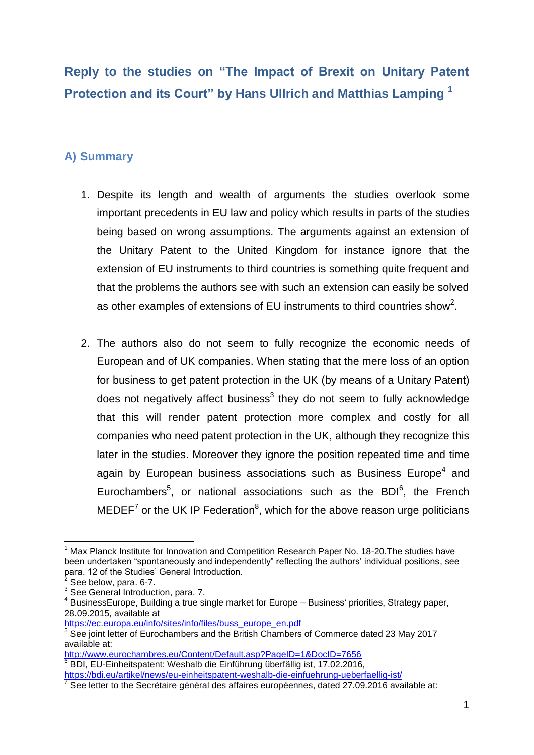# **Reply to the studies on "The Impact of Brexit on Unitary Patent Protection and its Court" by Hans Ullrich and Matthias Lamping <sup>1</sup>**

### **A) Summary**

- 1. Despite its length and wealth of arguments the studies overlook some important precedents in EU law and policy which results in parts of the studies being based on wrong assumptions. The arguments against an extension of the Unitary Patent to the United Kingdom for instance ignore that the extension of EU instruments to third countries is something quite frequent and that the problems the authors see with such an extension can easily be solved as other examples of extensions of EU instruments to third countries show<sup>2</sup>.
- 2. The authors also do not seem to fully recognize the economic needs of European and of UK companies. When stating that the mere loss of an option for business to get patent protection in the UK (by means of a Unitary Patent) does not negatively affect business<sup>3</sup> they do not seem to fully acknowledge that this will render patent protection more complex and costly for all companies who need patent protection in the UK, although they recognize this later in the studies. Moreover they ignore the position repeated time and time again by European business associations such as Business Europe<sup>4</sup> and Eurochambers<sup>5</sup>, or national associations such as the BDI $6$ , the French MEDEF<sup>7</sup> or the UK IP Federation<sup>8</sup>, which for the above reason urge politicians

1

<http://www.eurochambres.eu/Content/Default.asp?PageID=1&DocID=7656>

<sup>1</sup> Max Planck Institute for Innovation and Competition Research Paper No. 18-20.The studies have been undertaken "spontaneously and independently" reflecting the authors' individual positions, see para. 12 of the Studies' General Introduction.<br><sup>2</sup> See helow, para. 6.7

See below, para. 6-7.

<sup>&</sup>lt;sup>3</sup> See General Introduction, para. 7.

<sup>&</sup>lt;sup>4</sup> BusinessEurope, Building a true single market for Europe – Business' priorities, Strategy paper, 28.09.2015, available at

[https://ec.europa.eu/info/sites/info/files/buss\\_europe\\_en.pdf](https://ec.europa.eu/info/sites/info/files/buss_europe_en.pdf)

<sup>&</sup>lt;sup>5</sup> See joint letter of Eurochambers and the British Chambers of Commerce dated 23 May 2017 available at:

<sup>&</sup>lt;sup>6</sup> BDI, EU-Einheitspatent: Weshalb die Einführung überfällig ist, 17.02.2016,

<https://bdi.eu/artikel/news/eu-einheitspatent-weshalb-die-einfuehrung-ueberfaellig-ist/><br>7 See latter to the Seeráteire général des effeires européennes, dated 37.00.2016 euro

See letter to the Secrétaire général des affaires européennes, dated 27.09.2016 available at: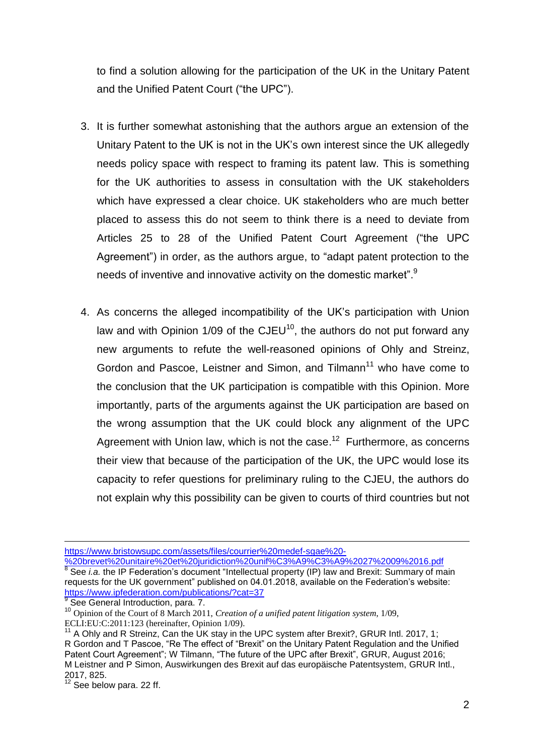to find a solution allowing for the participation of the UK in the Unitary Patent and the Unified Patent Court ("the UPC").

- 3. It is further somewhat astonishing that the authors argue an extension of the Unitary Patent to the UK is not in the UK's own interest since the UK allegedly needs policy space with respect to framing its patent law. This is something for the UK authorities to assess in consultation with the UK stakeholders which have expressed a clear choice. UK stakeholders who are much better placed to assess this do not seem to think there is a need to deviate from Articles 25 to 28 of the Unified Patent Court Agreement ("the UPC Agreement") in order, as the authors argue, to "adapt patent protection to the needs of inventive and innovative activity on the domestic market".<sup>9</sup>
- 4. As concerns the alleged incompatibility of the UK's participation with Union law and with Opinion  $1/09$  of the CJEU<sup>10</sup>, the authors do not put forward any new arguments to refute the well-reasoned opinions of Ohly and Streinz, Gordon and Pascoe, Leistner and Simon, and Tilmann<sup>11</sup> who have come to the conclusion that the UK participation is compatible with this Opinion. More importantly, parts of the arguments against the UK participation are based on the wrong assumption that the UK could block any alignment of the UPC Agreement with Union law, which is not the case.<sup>12</sup> Furthermore, as concerns their view that because of the participation of the UK, the UPC would lose its capacity to refer questions for preliminary ruling to the CJEU, the authors do not explain why this possibility can be given to courts of third countries but not

https://www.ipfederation.com/publications/?cat=37<br><sup>9</sup> See General Introduction, para. 7.

<sup>1</sup> [https://www.bristowsupc.com/assets/files/courrier%20medef-sgae%20-](https://www.bristowsupc.com/assets/files/courrier%20medef-sgae%20-%20brevet%20unitaire%20et%20juridiction%20unif%C3%A9%C3%A9%2027%2009%2016.pdf)

[<sup>%20</sup>brevet%20unitaire%20et%20juridiction%20unif%C3%A9%C3%A9%2027%2009%2016.pdf](https://www.bristowsupc.com/assets/files/courrier%20medef-sgae%20-%20brevet%20unitaire%20et%20juridiction%20unif%C3%A9%C3%A9%2027%2009%2016.pdf)  <sup>8</sup> See *i.a.* the IP Federation's document "Intellectual property (IP) law and Brexit: Summary of main requests for the UK government" published on 04.01.2018, available on the Federation's website:

<sup>10</sup> Opinion of the Court of 8 March 2011, *Creation of a unified patent litigation system*, 1/09, ECLI:EU:C:2011:123 (hereinafter, Opinion 1/09).

 $11$  A Ohly and R Streinz, Can the UK stay in the UPC system after Brexit?, GRUR Intl. 2017, 1; R Gordon and T Pascoe, "Re The effect of "Brexit" on the Unitary Patent Regulation and the Unified Patent Court Agreement"; W Tilmann, "The future of the UPC after Brexit", GRUR, August 2016; M Leistner and P Simon, Auswirkungen des Brexit auf das europäische Patentsystem, GRUR Intl., 2017, 825.

 $\frac{2017}{12}$  See below para. 22 ff.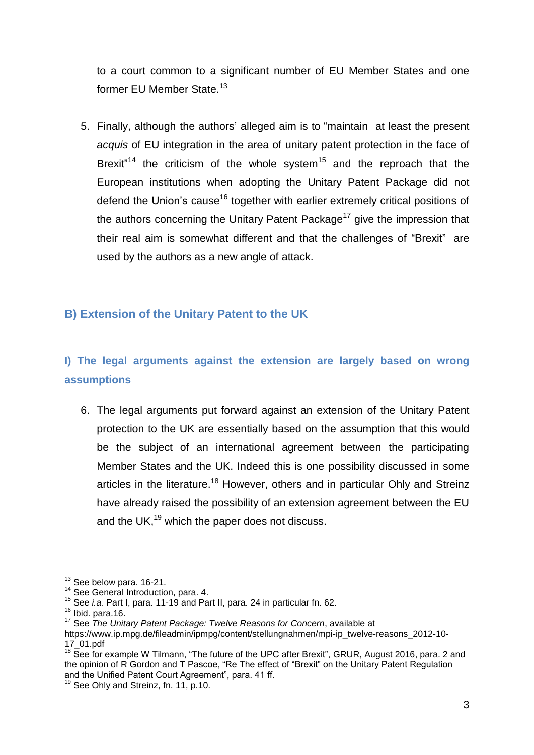to a court common to a significant number of EU Member States and one former EU Member State.<sup>13</sup>

5. Finally, although the authors' alleged aim is to "maintain at least the present *acquis* of EU integration in the area of unitary patent protection in the face of Brexit<sup>"14</sup> the criticism of the whole system<sup>15</sup> and the reproach that the European institutions when adopting the Unitary Patent Package did not defend the Union's cause<sup>16</sup> together with earlier extremely critical positions of the authors concerning the Unitary Patent Package<sup>17</sup> give the impression that their real aim is somewhat different and that the challenges of "Brexit" are used by the authors as a new angle of attack.

#### **B) Extension of the Unitary Patent to the UK**

# **I) The legal arguments against the extension are largely based on wrong assumptions**

6. The legal arguments put forward against an extension of the Unitary Patent protection to the UK are essentially based on the assumption that this would be the subject of an international agreement between the participating Member States and the UK. Indeed this is one possibility discussed in some articles in the literature.<sup>18</sup> However, others and in particular Ohly and Streinz have already raised the possibility of an extension agreement between the EU and the UK, $^{19}$  which the paper does not discuss.

<sup>1</sup>  $13$  See below para. 16-21.

<sup>&</sup>lt;sup>14</sup> See General Introduction, para. 4.

<sup>15</sup> See *i.a.* Part I, para. 11-19 and Part II, para. 24 in particular fn. 62.

 $16$  Ibid. para.16.

<sup>17</sup> See *The Unitary Patent Package: Twelve Reasons for Concern*, available at

https://www.ip.mpg.de/fileadmin/ipmpg/content/stellungnahmen/mpi-ip\_twelve-reasons\_2012-10- 17\_01.pdf

<sup>&</sup>lt;sup>18</sup> See for example W Tilmann, "The future of the UPC after Brexit", GRUR, August 2016, para. 2 and the opinion of R Gordon and T Pascoe, "Re The effect of "Brexit" on the Unitary Patent Regulation and the Unified Patent Court Agreement", para. 41 ff.

 $9$  See Ohly and Streinz, fn. 11, p.10.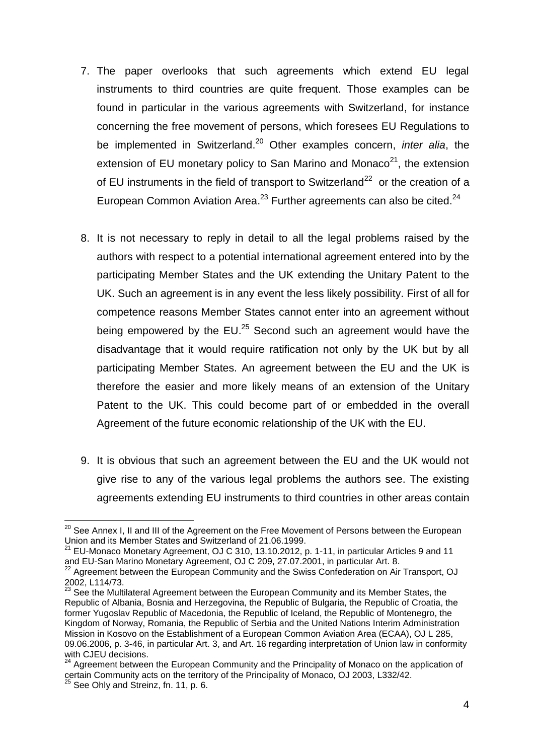- 7. The paper overlooks that such agreements which extend EU legal instruments to third countries are quite frequent. Those examples can be found in particular in the various agreements with Switzerland, for instance concerning the free movement of persons, which foresees EU Regulations to be implemented in Switzerland. <sup>20</sup> Other examples concern, *inter alia*, the extension of EU monetary policy to San Marino and Monaco $2^1$ , the extension of EU instruments in the field of transport to Switzerland<sup>22</sup> or the creation of a European Common Aviation Area.<sup>23</sup> Further agreements can also be cited.<sup>24</sup>
- 8. It is not necessary to reply in detail to all the legal problems raised by the authors with respect to a potential international agreement entered into by the participating Member States and the UK extending the Unitary Patent to the UK. Such an agreement is in any event the less likely possibility. First of all for competence reasons Member States cannot enter into an agreement without being empowered by the EU.<sup>25</sup> Second such an agreement would have the disadvantage that it would require ratification not only by the UK but by all participating Member States. An agreement between the EU and the UK is therefore the easier and more likely means of an extension of the Unitary Patent to the UK. This could become part of or embedded in the overall Agreement of the future economic relationship of the UK with the EU.
- 9. It is obvious that such an agreement between the EU and the UK would not give rise to any of the various legal problems the authors see. The existing agreements extending EU instruments to third countries in other areas contain

<sup>1</sup>  $^{20}$  See Annex I, II and III of the Agreement on the Free Movement of Persons between the European Union and its Member States and Switzerland of 21.06.1999.

<sup>21</sup> EU-Monaco Monetary Agreement, OJ C 310, 13.10.2012, p. 1-11, in particular Articles 9 and 11 and EU-San Marino Monetary Agreement, OJ C 209, 27.07.2001, in particular Art. 8.

 $22$  Agreement between the European Community and the Swiss Confederation on Air Transport, OJ 2002, L114/73.

 $23$  See the Multilateral Agreement between the European Community and its Member States, the Republic of Albania, Bosnia and Herzegovina, the Republic of Bulgaria, the Republic of Croatia, the former Yugoslav Republic of Macedonia, the Republic of Iceland, the Republic of Montenegro, the Kingdom of Norway, Romania, the Republic of Serbia and the United Nations Interim Administration Mission in Kosovo on the Establishment of a European Common Aviation Area (ECAA), OJ L 285, 09.06.2006, p. 3-46, in particular Art. 3, and Art. 16 regarding interpretation of Union law in conformity with CJEU decisions.

<sup>&</sup>lt;sup>24</sup> Agreement between the European Community and the Principality of Monaco on the application of certain Community acts on the territory of the Principality of Monaco, OJ 2003, L332/42.

 $^5$  See Ohly and Streinz, fn. 11, p. 6.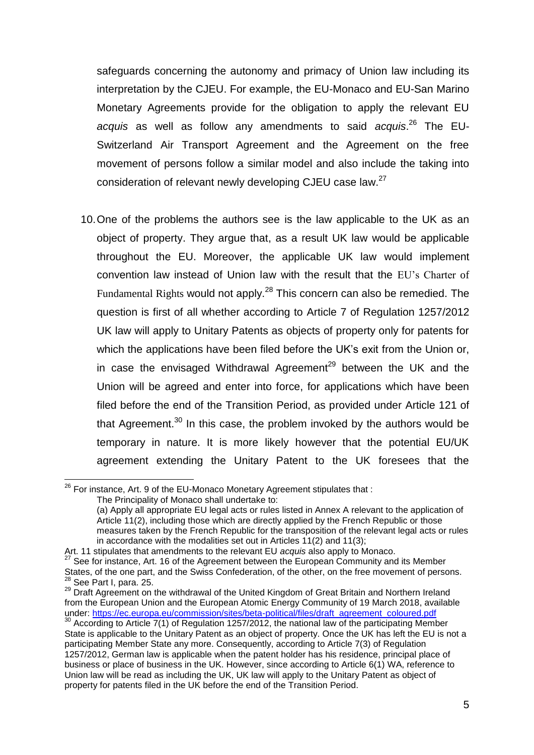safeguards concerning the autonomy and primacy of Union law including its interpretation by the CJEU. For example, the EU-Monaco and EU-San Marino Monetary Agreements provide for the obligation to apply the relevant EU *acquis* as well as follow any amendments to said *acquis*. <sup>26</sup> The EU-Switzerland Air Transport Agreement and the Agreement on the free movement of persons follow a similar model and also include the taking into consideration of relevant newly developing CJEU case law.<sup>27</sup>

10.One of the problems the authors see is the law applicable to the UK as an object of property. They argue that, as a result UK law would be applicable throughout the EU. Moreover, the applicable UK law would implement convention law instead of Union law with the result that the EU's Charter of Fundamental Rights would not apply.<sup>28</sup> This concern can also be remedied. The question is first of all whether according to Article 7 of Regulation 1257/2012 UK law will apply to Unitary Patents as objects of property only for patents for which the applications have been filed before the UK's exit from the Union or, in case the envisaged Withdrawal Agreement<sup>29</sup> between the UK and the Union will be agreed and enter into force, for applications which have been filed before the end of the Transition Period, as provided under Article 121 of that Agreement. $30$  In this case, the problem invoked by the authors would be temporary in nature. It is more likely however that the potential EU/UK agreement extending the Unitary Patent to the UK foresees that the

 $^{26}$  For instance, Art. 9 of the EU-Monaco Monetary Agreement stipulates that :

The Principality of Monaco shall undertake to:

<sup>(</sup>a) Apply all appropriate EU legal acts or rules listed in Annex A relevant to the application of Article 11(2), including those which are directly applied by the French Republic or those measures taken by the French Republic for the transposition of the relevant legal acts or rules in accordance with the modalities set out in Articles 11(2) and 11(3);

Art. 11 stipulates that amendments to the relevant EU *acquis* also apply to Monaco.

See for instance, Art. 16 of the Agreement between the European Community and its Member States, of the one part, and the Swiss Confederation, of the other, on the free movement of persons. <sup>28</sup> See Part I, para. 25.

<sup>&</sup>lt;sup>29</sup> Draft Agreement on the withdrawal of the United Kingdom of Great Britain and Northern Ireland from the European Union and the European Atomic Energy Community of 19 March 2018, available under: [https://ec.europa.eu/commission/sites/beta-political/files/draft\\_agreement\\_coloured.pdf](https://ec.europa.eu/commission/sites/beta-political/files/draft_agreement_coloured.pdf)

<sup>&</sup>lt;sup>30</sup> According to Article 7(1) of Regulation 1257/2012, the national law of the participating Member State is applicable to the Unitary Patent as an object of property. Once the UK has left the EU is not a participating Member State any more. Consequently, according to Article 7(3) of Regulation 1257/2012, German law is applicable when the patent holder has his residence, principal place of business or place of business in the UK. However, since according to Article 6(1) WA, reference to Union law will be read as including the UK, UK law will apply to the Unitary Patent as object of property for patents filed in the UK before the end of the Transition Period.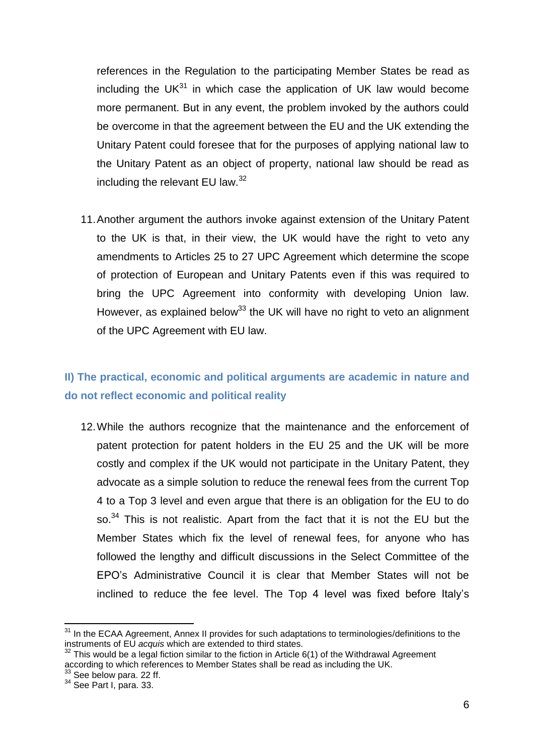references in the Regulation to the participating Member States be read as including the UK $31$  in which case the application of UK law would become more permanent. But in any event, the problem invoked by the authors could be overcome in that the agreement between the EU and the UK extending the Unitary Patent could foresee that for the purposes of applying national law to the Unitary Patent as an object of property, national law should be read as including the relevant EU law.<sup>32</sup>

11.Another argument the authors invoke against extension of the Unitary Patent to the UK is that, in their view, the UK would have the right to veto any amendments to Articles 25 to 27 UPC Agreement which determine the scope of protection of European and Unitary Patents even if this was required to bring the UPC Agreement into conformity with developing Union law. However, as explained below<sup>33</sup> the UK will have no right to veto an alignment of the UPC Agreement with EU law.

### **II) The practical, economic and political arguments are academic in nature and do not reflect economic and political reality**

12.While the authors recognize that the maintenance and the enforcement of patent protection for patent holders in the EU 25 and the UK will be more costly and complex if the UK would not participate in the Unitary Patent, they advocate as a simple solution to reduce the renewal fees from the current Top 4 to a Top 3 level and even argue that there is an obligation for the EU to do so.<sup>34</sup> This is not realistic. Apart from the fact that it is not the EU but the Member States which fix the level of renewal fees, for anyone who has followed the lengthy and difficult discussions in the Select Committee of the EPO's Administrative Council it is clear that Member States will not be inclined to reduce the fee level. The Top 4 level was fixed before Italy's

<sup>&</sup>lt;sup>31</sup> In the ECAA Agreement, Annex II provides for such adaptations to terminologies/definitions to the instruments of EU *acquis* which are extended to third states.

This would be a legal fiction similar to the fiction in Article 6(1) of the Withdrawal Agreement according to which references to Member States shall be read as including the UK.

 $33$  See below para. 22 ff.

<sup>34</sup> See Part I, para. 33.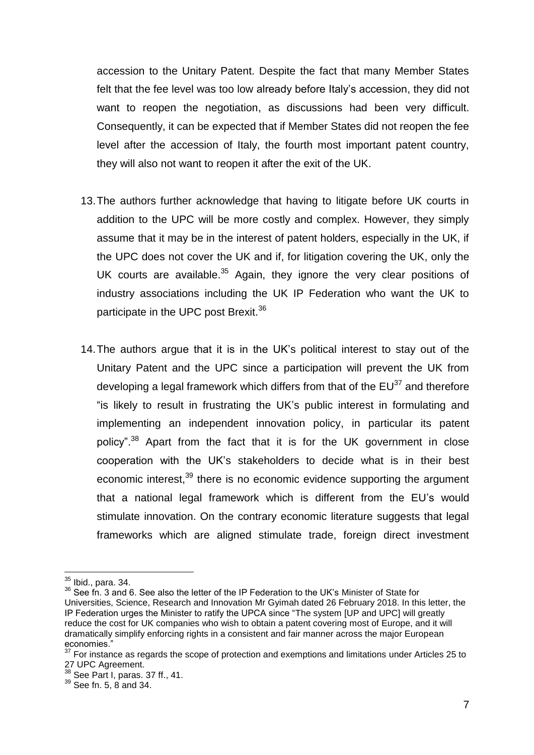accession to the Unitary Patent. Despite the fact that many Member States felt that the fee level was too low already before Italy's accession, they did not want to reopen the negotiation, as discussions had been very difficult. Consequently, it can be expected that if Member States did not reopen the fee level after the accession of Italy, the fourth most important patent country, they will also not want to reopen it after the exit of the UK.

- 13.The authors further acknowledge that having to litigate before UK courts in addition to the UPC will be more costly and complex. However, they simply assume that it may be in the interest of patent holders, especially in the UK, if the UPC does not cover the UK and if, for litigation covering the UK, only the UK courts are available.<sup>35</sup> Again, they ignore the very clear positions of industry associations including the UK IP Federation who want the UK to participate in the UPC post Brexit.<sup>36</sup>
- 14.The authors argue that it is in the UK's political interest to stay out of the Unitary Patent and the UPC since a participation will prevent the UK from developing a legal framework which differs from that of the  $EU^{37}$  and therefore "is likely to result in frustrating the UK's public interest in formulating and implementing an independent innovation policy, in particular its patent policy".<sup>38</sup> Apart from the fact that it is for the UK government in close cooperation with the UK's stakeholders to decide what is in their best economic interest,<sup>39</sup> there is no economic evidence supporting the argument that a national legal framework which is different from the EU's would stimulate innovation. On the contrary economic literature suggests that legal frameworks which are aligned stimulate trade, foreign direct investment

 $35$  Ibid., para. 34.

<sup>&</sup>lt;sup>36</sup> See fn. 3 and 6. See also the letter of the IP Federation to the UK's Minister of State for Universities, Science, Research and Innovation Mr Gyimah dated 26 February 2018. In this letter, the IP Federation urges the Minister to ratify the UPCA since "The system [UP and UPC] will greatly reduce the cost for UK companies who wish to obtain a patent covering most of Europe, and it will dramatically simplify enforcing rights in a consistent and fair manner across the major European economies."<br>37 F

<sup>37</sup> For instance as regards the scope of protection and exemptions and limitations under Articles 25 to 27 UPC Agreement.

 $38$  See Part I, paras. 37 ff., 41.

<sup>39</sup> See fn. 5, 8 and 34.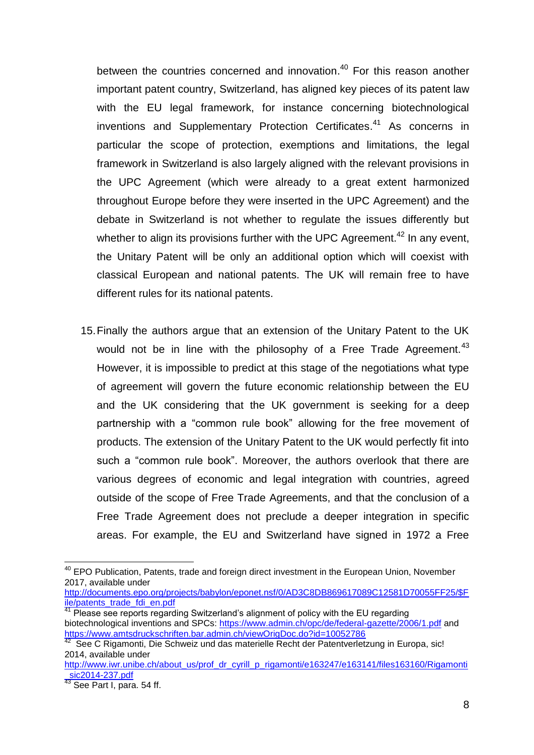between the countries concerned and innovation.<sup>40</sup> For this reason another important patent country, Switzerland, has aligned key pieces of its patent law with the EU legal framework, for instance concerning biotechnological inventions and Supplementary Protection Certificates. <sup>41</sup> As concerns in particular the scope of protection, exemptions and limitations, the legal framework in Switzerland is also largely aligned with the relevant provisions in the UPC Agreement (which were already to a great extent harmonized throughout Europe before they were inserted in the UPC Agreement) and the debate in Switzerland is not whether to regulate the issues differently but whether to align its provisions further with the UPC Agreement.<sup>42</sup> In any event, the Unitary Patent will be only an additional option which will coexist with classical European and national patents. The UK will remain free to have different rules for its national patents.

15.Finally the authors argue that an extension of the Unitary Patent to the UK would not be in line with the philosophy of a Free Trade Agreement.<sup>43</sup> However, it is impossible to predict at this stage of the negotiations what type of agreement will govern the future economic relationship between the EU and the UK considering that the UK government is seeking for a deep partnership with a "common rule book" allowing for the free movement of products. The extension of the Unitary Patent to the UK would perfectly fit into such a "common rule book". Moreover, the authors overlook that there are various degrees of economic and legal integration with countries, agreed outside of the scope of Free Trade Agreements, and that the conclusion of a Free Trade Agreement does not preclude a deeper integration in specific areas. For example, the EU and Switzerland have signed in 1972 a Free

[http://documents.epo.org/projects/babylon/eponet.nsf/0/AD3C8DB869617089C12581D70055FF25/\\$F](http://documents.epo.org/projects/babylon/eponet.nsf/0/AD3C8DB869617089C12581D70055FF25/$File/patents_trade_fdi_en.pdf) [ile/patents\\_trade\\_fdi\\_en.pdf](http://documents.epo.org/projects/babylon/eponet.nsf/0/AD3C8DB869617089C12581D70055FF25/$File/patents_trade_fdi_en.pdf)

<sup>1</sup> <sup>40</sup> EPO Publication, Patents, trade and foreign direct investment in the European Union, November 2017, available under

<sup>&</sup>lt;sup>41</sup> Please see reports regarding Switzerland's alignment of policy with the EU regarding biotechnological inventions and SPCs:<https://www.admin.ch/opc/de/federal-gazette/2006/1.pdf> and <https://www.amtsdruckschriften.bar.admin.ch/viewOrigDoc.do?id=10052786>

<sup>&</sup>lt;sup>42</sup> See C Rigamonti, Die Schweiz und das materielle Recht der Patentverletzung in Europa, sic! 2014, available under

[http://www.iwr.unibe.ch/about\\_us/prof\\_dr\\_cyrill\\_p\\_rigamonti/e163247/e163141/files163160/Rigamonti](http://www.iwr.unibe.ch/about_us/prof_dr_cyrill_p_rigamonti/e163247/e163141/files163160/Rigamonti_sic2014-237.pdf) [\\_sic2014-237.pdf](http://www.iwr.unibe.ch/about_us/prof_dr_cyrill_p_rigamonti/e163247/e163141/files163160/Rigamonti_sic2014-237.pdf)

 $\frac{\text{SICZU14-201.} \mu \mu \mu}{43}$  See Part I, para. 54 ff.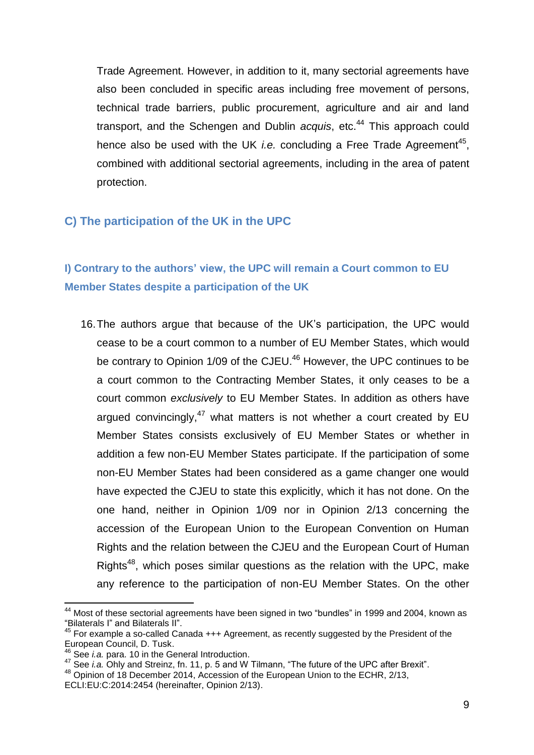Trade Agreement. However, in addition to it, many sectorial agreements have also been concluded in specific areas including free movement of persons, technical trade barriers, public procurement, agriculture and air and land transport, and the Schengen and Dublin *acquis*, etc.<sup>44</sup> This approach could hence also be used with the UK *i.e.* concluding a Free Trade Agreement<sup>45</sup>, combined with additional sectorial agreements, including in the area of patent protection.

#### **C) The participation of the UK in the UPC**

## **I) Contrary to the authors' view, the UPC will remain a Court common to EU Member States despite a participation of the UK**

16.The authors argue that because of the UK's participation, the UPC would cease to be a court common to a number of EU Member States, which would be contrary to Opinion  $1/09$  of the CJEU.<sup>46</sup> However, the UPC continues to be a court common to the Contracting Member States, it only ceases to be a court common *exclusively* to EU Member States. In addition as others have argued convincingly,<sup>47</sup> what matters is not whether a court created by EU Member States consists exclusively of EU Member States or whether in addition a few non-EU Member States participate. If the participation of some non-EU Member States had been considered as a game changer one would have expected the CJEU to state this explicitly, which it has not done. On the one hand, neither in Opinion 1/09 nor in Opinion 2/13 concerning the accession of the European Union to the European Convention on Human Rights and the relation between the CJEU and the European Court of Human Rights<sup>48</sup>, which poses similar questions as the relation with the UPC, make any reference to the participation of non-EU Member States. On the other

 $44$  Most of these sectorial agreements have been signed in two "bundles" in 1999 and 2004, known as "Bilaterals I" and Bilaterals II".

<sup>45</sup> For example a so-called Canada +++ Agreement, as recently suggested by the President of the European Council, D. Tusk.

See *i.a.* para. 10 in the General Introduction.

<sup>47</sup> See *i.a.* Ohly and Streinz, fn. 11, p. 5 and W Tilmann, "The future of the UPC after Brexit".

<sup>&</sup>lt;sup>48</sup> Opinion of 18 December 2014, Accession of the European Union to the ECHR, 2/13,

ECLI:EU:C:2014:2454 (hereinafter, Opinion 2/13).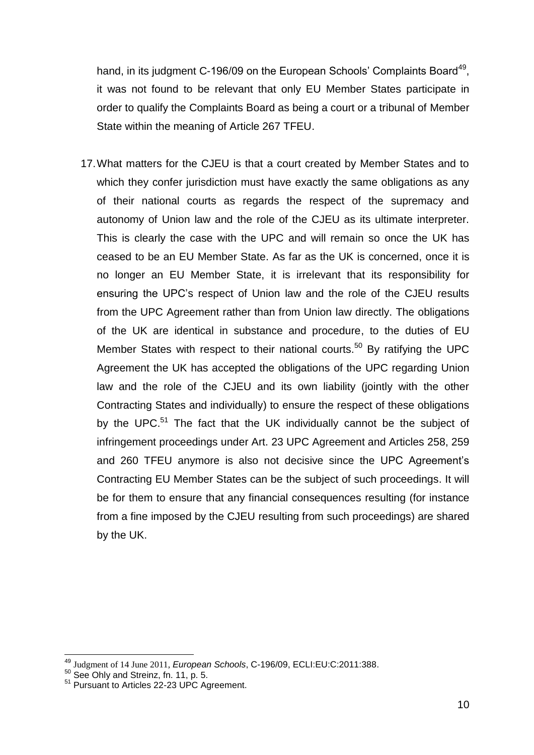hand, in its judgment C-196/09 on the European Schools' Complaints Board<sup>49</sup>, it was not found to be relevant that only EU Member States participate in order to qualify the Complaints Board as being a court or a tribunal of Member State within the meaning of Article 267 TFEU.

17.What matters for the CJEU is that a court created by Member States and to which they confer jurisdiction must have exactly the same obligations as any of their national courts as regards the respect of the supremacy and autonomy of Union law and the role of the CJEU as its ultimate interpreter. This is clearly the case with the UPC and will remain so once the UK has ceased to be an EU Member State. As far as the UK is concerned, once it is no longer an EU Member State, it is irrelevant that its responsibility for ensuring the UPC's respect of Union law and the role of the CJEU results from the UPC Agreement rather than from Union law directly. The obligations of the UK are identical in substance and procedure, to the duties of EU Member States with respect to their national courts.<sup>50</sup> By ratifying the UPC Agreement the UK has accepted the obligations of the UPC regarding Union law and the role of the CJEU and its own liability (jointly with the other Contracting States and individually) to ensure the respect of these obligations by the UPC.<sup>51</sup> The fact that the UK individually cannot be the subject of infringement proceedings under Art. 23 UPC Agreement and Articles 258, 259 and 260 TFEU anymore is also not decisive since the UPC Agreement's Contracting EU Member States can be the subject of such proceedings. It will be for them to ensure that any financial consequences resulting (for instance from a fine imposed by the CJEU resulting from such proceedings) are shared by the UK.

<sup>49</sup> Judgment of 14 June 2011, *European Schools*, C-196/09, ECLI:EU:C:2011:388.

 $50$  See Ohly and Streinz, fn. 11, p. 5.

<sup>&</sup>lt;sup>51</sup> Pursuant to Articles 22-23 UPC Agreement.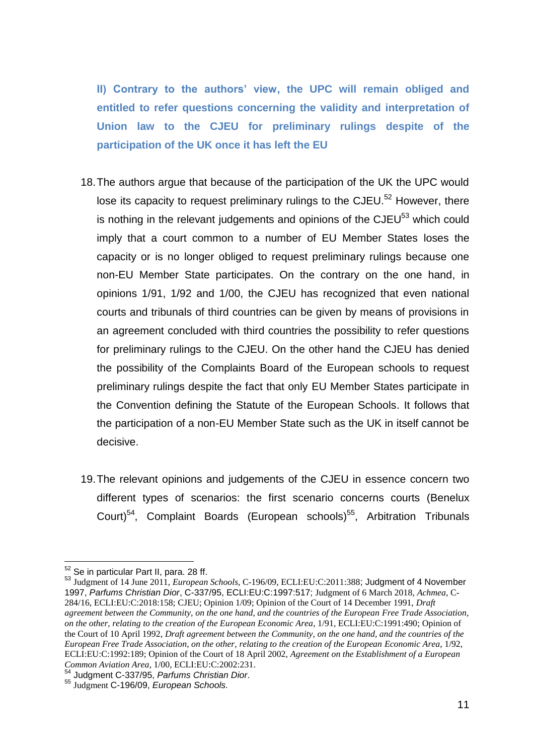**II) Contrary to the authors' view, the UPC will remain obliged and entitled to refer questions concerning the validity and interpretation of Union law to the CJEU for preliminary rulings despite of the participation of the UK once it has left the EU**

- 18.The authors argue that because of the participation of the UK the UPC would lose its capacity to request preliminary rulings to the CJEU.<sup>52</sup> However, there is nothing in the relevant judgements and opinions of the  $CJEU<sup>53</sup>$  which could imply that a court common to a number of EU Member States loses the capacity or is no longer obliged to request preliminary rulings because one non-EU Member State participates. On the contrary on the one hand, in opinions 1/91, 1/92 and 1/00, the CJEU has recognized that even national courts and tribunals of third countries can be given by means of provisions in an agreement concluded with third countries the possibility to refer questions for preliminary rulings to the CJEU. On the other hand the CJEU has denied the possibility of the Complaints Board of the European schools to request preliminary rulings despite the fact that only EU Member States participate in the Convention defining the Statute of the European Schools. It follows that the participation of a non-EU Member State such as the UK in itself cannot be decisive.
- 19.The relevant opinions and judgements of the CJEU in essence concern two different types of scenarios: the first scenario concerns courts (Benelux Court)<sup>54</sup>, Complaint Boards (European schools)<sup>55</sup>, Arbitration Tribunals

<sup>&</sup>lt;sup>52</sup> Se in particular Part II, para. 28 ff.

<sup>53</sup> Judgment of 14 June 2011, *European Schools*, C-196/09, ECLI:EU:C:2011:388; Judgment of 4 November 1997, *Parfums Christian Dior*, C-337/95, ECLI:EU:C:1997:517; Judgment of 6 March 2018, *Achmea*, C-284/16, ECLI:EU:C:2018:158; CJEU; Opinion 1/09; Opinion of the Court of 14 December 1991, *Draft agreement between the Community, on the one hand, and the countries of the European Free Trade Association, on the other, relating to the creation of the European Economic Area*, 1/91, ECLI:EU:C:1991:490; Opinion of the Court of 10 April 1992, *Draft agreement between the Community, on the one hand, and the countries of the European Free Trade Association, on the other, relating to the creation of the European Economic Area*, 1/92, ECLI:EU:C:1992:189; Opinion of the Court of 18 April 2002, *Agreement on the Establishment of a European Common Aviation Area*, 1/00, ECLI:EU:C:2002:231.

<sup>54</sup> Judgment C-337/95, *Parfums Christian Dior*.

<sup>55</sup> Judgment C-196/09, *European Schools.*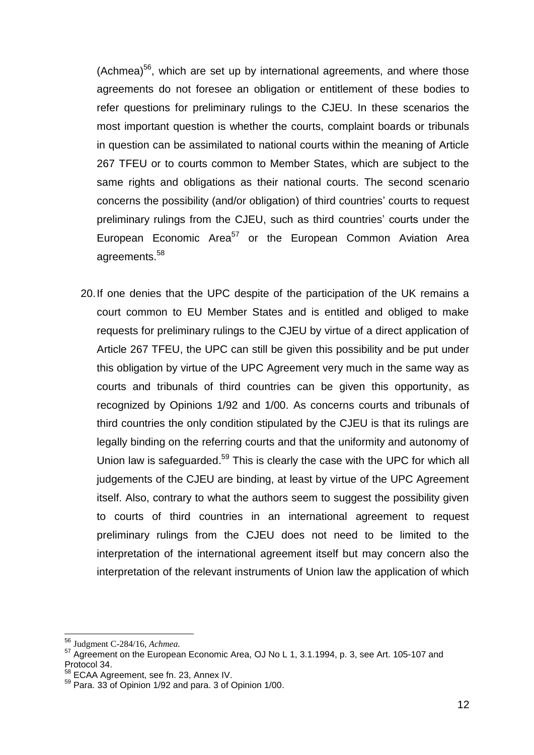(Achmea)<sup>56</sup>, which are set up by international agreements, and where those agreements do not foresee an obligation or entitlement of these bodies to refer questions for preliminary rulings to the CJEU. In these scenarios the most important question is whether the courts, complaint boards or tribunals in question can be assimilated to national courts within the meaning of Article 267 TFEU or to courts common to Member States, which are subject to the same rights and obligations as their national courts. The second scenario concerns the possibility (and/or obligation) of third countries' courts to request preliminary rulings from the CJEU, such as third countries' courts under the European Economic Area<sup>57</sup> or the European Common Aviation Area agreements.<sup>58</sup>

20.If one denies that the UPC despite of the participation of the UK remains a court common to EU Member States and is entitled and obliged to make requests for preliminary rulings to the CJEU by virtue of a direct application of Article 267 TFEU, the UPC can still be given this possibility and be put under this obligation by virtue of the UPC Agreement very much in the same way as courts and tribunals of third countries can be given this opportunity, as recognized by Opinions 1/92 and 1/00. As concerns courts and tribunals of third countries the only condition stipulated by the CJEU is that its rulings are legally binding on the referring courts and that the uniformity and autonomy of Union law is safeguarded.<sup>59</sup> This is clearly the case with the UPC for which all judgements of the CJEU are binding, at least by virtue of the UPC Agreement itself. Also, contrary to what the authors seem to suggest the possibility given to courts of third countries in an international agreement to request preliminary rulings from the CJEU does not need to be limited to the interpretation of the international agreement itself but may concern also the interpretation of the relevant instruments of Union law the application of which

<sup>56</sup> Judgment C-284/16, *Achmea.*

<sup>57</sup> Agreement on the European Economic Area, OJ No L 1, 3.1.1994, p. 3, see Art. 105-107 and Protocol 34.

<sup>58</sup> ECAA Agreement, see fn. 23, Annex IV.

<sup>59</sup> Para. 33 of Opinion 1/92 and para. 3 of Opinion 1/00.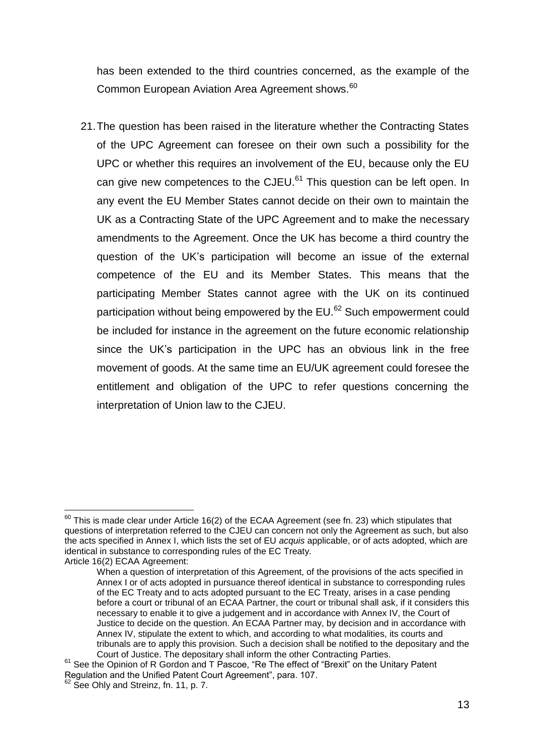has been extended to the third countries concerned, as the example of the Common European Aviation Area Agreement shows.<sup>60</sup>

21.The question has been raised in the literature whether the Contracting States of the UPC Agreement can foresee on their own such a possibility for the UPC or whether this requires an involvement of the EU, because only the EU can give new competences to the CJEU.<sup>61</sup> This question can be left open. In any event the EU Member States cannot decide on their own to maintain the UK as a Contracting State of the UPC Agreement and to make the necessary amendments to the Agreement. Once the UK has become a third country the question of the UK's participation will become an issue of the external competence of the EU and its Member States. This means that the participating Member States cannot agree with the UK on its continued participation without being empowered by the EU.<sup>62</sup> Such empowerment could be included for instance in the agreement on the future economic relationship since the UK's participation in the UPC has an obvious link in the free movement of goods. At the same time an EU/UK agreement could foresee the entitlement and obligation of the UPC to refer questions concerning the interpretation of Union law to the CJEU.

 $^{60}$  This is made clear under Article 16(2) of the ECAA Agreement (see fn. 23) which stipulates that questions of interpretation referred to the CJEU can concern not only the Agreement as such, but also the acts specified in Annex I, which lists the set of EU *acquis* applicable, or of acts adopted, which are identical in substance to corresponding rules of the EC Treaty. Article 16(2) ECAA Agreement:

When a question of interpretation of this Agreement, of the provisions of the acts specified in Annex I or of acts adopted in pursuance thereof identical in substance to corresponding rules of the EC Treaty and to acts adopted pursuant to the EC Treaty, arises in a case pending before a court or tribunal of an ECAA Partner, the court or tribunal shall ask, if it considers this necessary to enable it to give a judgement and in accordance with Annex IV, the Court of Justice to decide on the question. An ECAA Partner may, by decision and in accordance with Annex IV, stipulate the extent to which, and according to what modalities, its courts and tribunals are to apply this provision. Such a decision shall be notified to the depositary and the Court of Justice. The depositary shall inform the other Contracting Parties.

<sup>&</sup>lt;sup>61</sup> See the Opinion of R Gordon and T Pascoe, "Re The effect of "Brexit" on the Unitary Patent Regulation and the Unified Patent Court Agreement", para. 107.

See Ohly and Streinz, fn. 11, p. 7.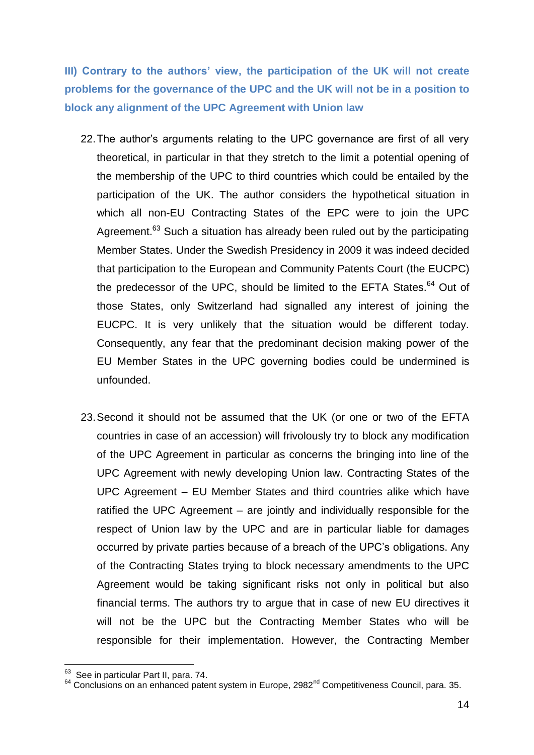**III) Contrary to the authors' view, the participation of the UK will not create problems for the governance of the UPC and the UK will not be in a position to block any alignment of the UPC Agreement with Union law**

- 22.The author's arguments relating to the UPC governance are first of all very theoretical, in particular in that they stretch to the limit a potential opening of the membership of the UPC to third countries which could be entailed by the participation of the UK. The author considers the hypothetical situation in which all non-EU Contracting States of the EPC were to join the UPC Agreement.<sup>63</sup> Such a situation has already been ruled out by the participating Member States. Under the Swedish Presidency in 2009 it was indeed decided that participation to the European and Community Patents Court (the EUCPC) the predecessor of the UPC, should be limited to the EFTA States.<sup>64</sup> Out of those States, only Switzerland had signalled any interest of joining the EUCPC. It is very unlikely that the situation would be different today. Consequently, any fear that the predominant decision making power of the EU Member States in the UPC governing bodies could be undermined is unfounded.
- 23.Second it should not be assumed that the UK (or one or two of the EFTA countries in case of an accession) will frivolously try to block any modification of the UPC Agreement in particular as concerns the bringing into line of the UPC Agreement with newly developing Union law. Contracting States of the UPC Agreement – EU Member States and third countries alike which have ratified the UPC Agreement – are jointly and individually responsible for the respect of Union law by the UPC and are in particular liable for damages occurred by private parties because of a breach of the UPC's obligations. Any of the Contracting States trying to block necessary amendments to the UPC Agreement would be taking significant risks not only in political but also financial terms. The authors try to argue that in case of new EU directives it will not be the UPC but the Contracting Member States who will be responsible for their implementation. However, the Contracting Member

 63 See in particular Part II, para. 74.

 $64$  Conclusions on an enhanced patent system in Europe, 2982<sup>nd</sup> Competitiveness Council, para. 35.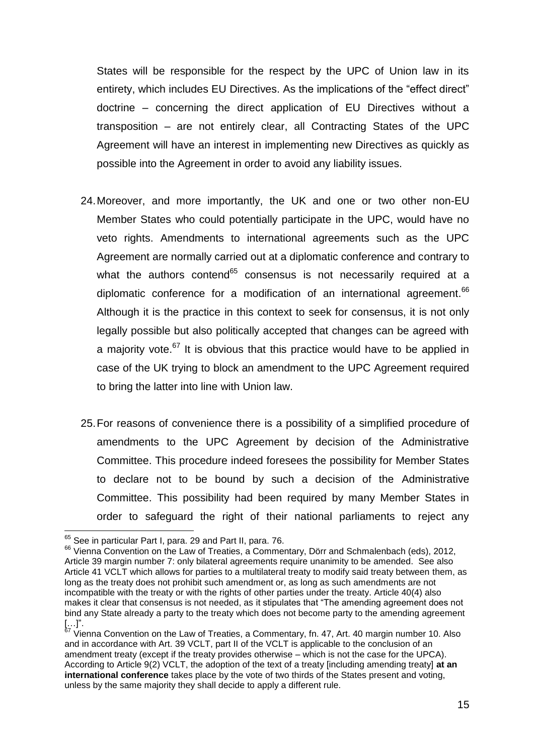States will be responsible for the respect by the UPC of Union law in its entirety, which includes EU Directives. As the implications of the "effect direct" doctrine – concerning the direct application of EU Directives without a transposition – are not entirely clear, all Contracting States of the UPC Agreement will have an interest in implementing new Directives as quickly as possible into the Agreement in order to avoid any liability issues.

- 24.Moreover, and more importantly, the UK and one or two other non-EU Member States who could potentially participate in the UPC, would have no veto rights. Amendments to international agreements such as the UPC Agreement are normally carried out at a diplomatic conference and contrary to what the authors contend<sup>65</sup> consensus is not necessarily required at a diplomatic conference for a modification of an international agreement.<sup>66</sup> Although it is the practice in this context to seek for consensus, it is not only legally possible but also politically accepted that changes can be agreed with a majority vote.<sup>67</sup> It is obvious that this practice would have to be applied in case of the UK trying to block an amendment to the UPC Agreement required to bring the latter into line with Union law.
- 25.For reasons of convenience there is a possibility of a simplified procedure of amendments to the UPC Agreement by decision of the Administrative Committee. This procedure indeed foresees the possibility for Member States to declare not to be bound by such a decision of the Administrative Committee. This possibility had been required by many Member States in order to safeguard the right of their national parliaments to reject any

<sup>1</sup> <sup>65</sup> See in particular Part I, para. 29 and Part II, para. 76.

<sup>&</sup>lt;sup>66</sup> Vienna Convention on the Law of Treaties, a Commentary, Dörr and Schmalenbach (eds), 2012, Article 39 margin number 7: only bilateral agreements require unanimity to be amended. See also Article 41 VCLT which allows for parties to a multilateral treaty to modify said treaty between them, as long as the treaty does not prohibit such amendment or, as long as such amendments are not incompatible with the treaty or with the rights of other parties under the treaty. Article 40(4) also makes it clear that consensus is not needed, as it stipulates that "The amending agreement does not bind any State already a party to the treaty which does not become party to the amending agreement […]".

 $67$  Vienna Convention on the Law of Treaties, a Commentary, fn. 47, Art. 40 margin number 10. Also and in accordance with Art. 39 VCLT, part II of the VCLT is applicable to the conclusion of an amendment treaty (except if the treaty provides otherwise – which is not the case for the UPCA). According to Article 9(2) VCLT, the adoption of the text of a treaty [including amending treaty] **at an international conference** takes place by the vote of two thirds of the States present and voting, unless by the same majority they shall decide to apply a different rule.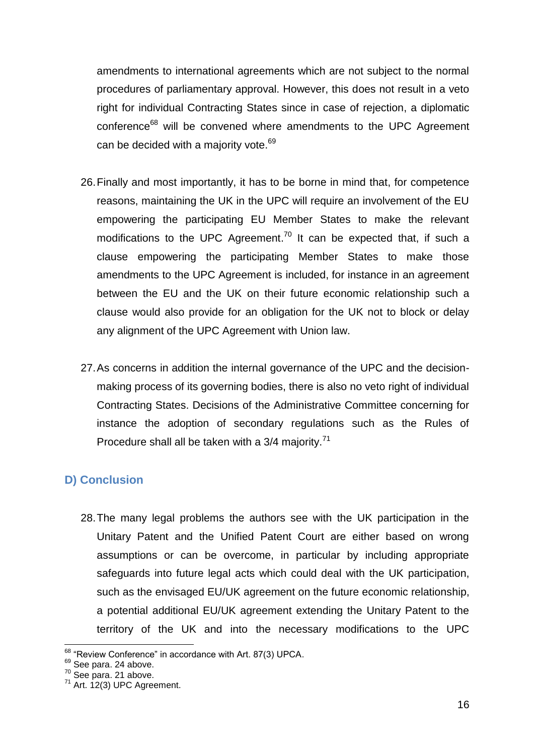amendments to international agreements which are not subject to the normal procedures of parliamentary approval. However, this does not result in a veto right for individual Contracting States since in case of rejection, a diplomatic conference<sup>68</sup> will be convened where amendments to the UPC Agreement can be decided with a majority vote.<sup>69</sup>

- 26.Finally and most importantly, it has to be borne in mind that, for competence reasons, maintaining the UK in the UPC will require an involvement of the EU empowering the participating EU Member States to make the relevant modifications to the UPC Agreement.<sup>70</sup> It can be expected that, if such a clause empowering the participating Member States to make those amendments to the UPC Agreement is included, for instance in an agreement between the EU and the UK on their future economic relationship such a clause would also provide for an obligation for the UK not to block or delay any alignment of the UPC Agreement with Union law.
- 27.As concerns in addition the internal governance of the UPC and the decisionmaking process of its governing bodies, there is also no veto right of individual Contracting States. Decisions of the Administrative Committee concerning for instance the adoption of secondary regulations such as the Rules of Procedure shall all be taken with a 3/4 majority.<sup>71</sup>

#### **D) Conclusion**

28.The many legal problems the authors see with the UK participation in the Unitary Patent and the Unified Patent Court are either based on wrong assumptions or can be overcome, in particular by including appropriate safeguards into future legal acts which could deal with the UK participation, such as the envisaged EU/UK agreement on the future economic relationship, a potential additional EU/UK agreement extending the Unitary Patent to the territory of the UK and into the necessary modifications to the UPC

<sup>1</sup> <sup>68</sup> "Review Conference" in accordance with Art. 87(3) UPCA.

<sup>&</sup>lt;sup>69</sup> See para. 24 above.

 $70$  See para. 21 above.

<sup>71</sup> Art. 12(3) UPC Agreement.